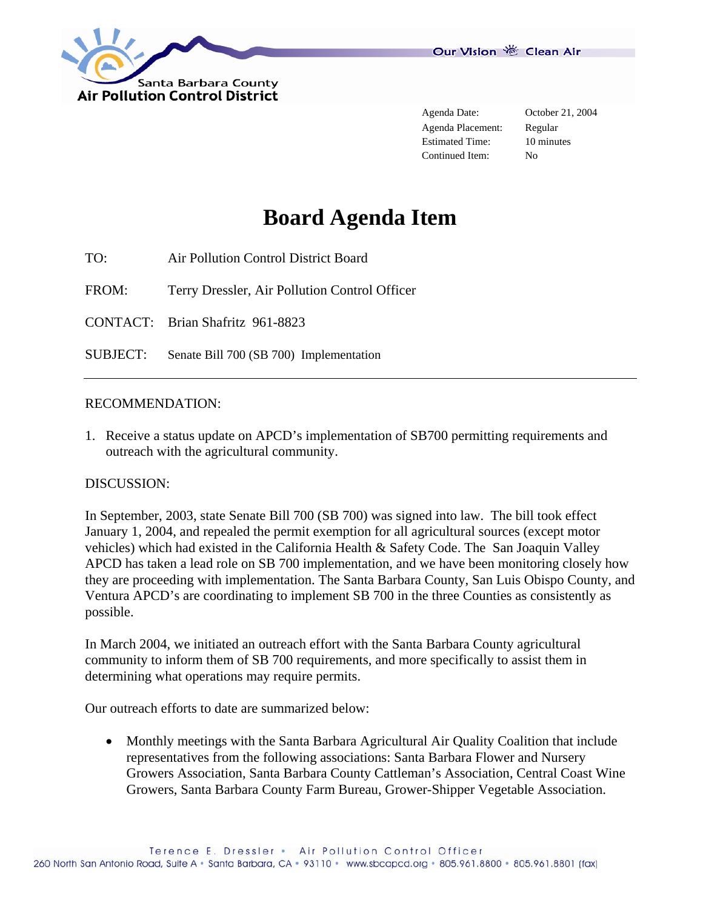

Agenda Placement: Regular Estimated Time: 10 minutes Continued Item: No

Agenda Date: October 21, 2004

## **Board Agenda Item**

TO: Air Pollution Control District Board

FROM: Terry Dressler, Air Pollution Control Officer

CONTACT: Brian Shafritz 961-8823

SUBJECT: Senate Bill 700 (SB 700) Implementation

## RECOMMENDATION:

1. Receive a status update on APCD's implementation of SB700 permitting requirements and outreach with the agricultural community.

## DISCUSSION:

In September, 2003, state Senate Bill 700 (SB 700) was signed into law. The bill took effect January 1, 2004, and repealed the permit exemption for all agricultural sources (except motor vehicles) which had existed in the California Health & Safety Code. The San Joaquin Valley APCD has taken a lead role on SB 700 implementation, and we have been monitoring closely how they are proceeding with implementation. The Santa Barbara County, San Luis Obispo County, and Ventura APCD's are coordinating to implement SB 700 in the three Counties as consistently as possible.

In March 2004, we initiated an outreach effort with the Santa Barbara County agricultural community to inform them of SB 700 requirements, and more specifically to assist them in determining what operations may require permits.

Our outreach efforts to date are summarized below:

• Monthly meetings with the Santa Barbara Agricultural Air Quality Coalition that include representatives from the following associations: Santa Barbara Flower and Nursery Growers Association, Santa Barbara County Cattleman's Association, Central Coast Wine Growers, Santa Barbara County Farm Bureau, Grower-Shipper Vegetable Association.